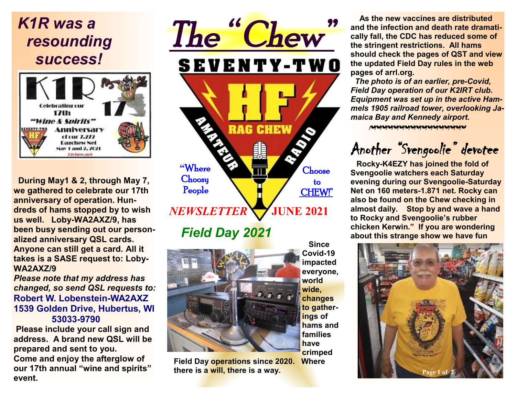# *K1R was a resounding success!*



 **During May1 & 2, through May 7, we gathered to celebrate our 17th anniversary of operation. Hundreds of hams stopped by to wish us well. Loby-WA2AXZ/9, has been busy sending out our personalized anniversary QSL cards. Anyone can still get a card. All it takes is a SASE request to: Loby-WA2AXZ/9**

*Please note that my address has changed, so send QSL requests to:*  **Robert W. Lobenstein-WA2AXZ 1539 Golden Drive, Hubertus, WI 53033-9790** 

 **Please include your call sign and address. A brand new QSL will be prepared and sent to you. Come and enjoy the afterglow of our 17th annual "wine and spirits" event.**

# *The " Chew"*  **SEVENTY-TWO RAG CHEW "**Where **Choose Choosy**  to People CHEW!" *NEWSLETTER* **JUNE 2021**

 *Field Day 2021* 



**Field Day operations since 2020. Where there is a will, there is a way.** 

 **Since Covid-19 impacted everyone, world wide, changes to gatherings of hams and families have crimped** 

**As the new vaccines are distributed and the infection and death rate dramatically fall, the CDC has reduced some of the stringent restrictions. All hams should check the pages of QST and view the updated Field Day rules in the web pages of arrl.org.** 

 *The photo is of an earlier, pre-Covid, Field Day operation of our K2IRT club. Equipment was set up in the active Hammels 1905 railroad tower, overlooking Jamaica Bay and Kennedy airport.* 

 *~~~~~~~~~~~~~~~~~* 

# *Another "Svengoolie" devotee*

**Rocky-K4EZY has joined the fold of Svengoolie watchers each Saturday evening during our Svengoolie-Saturday Net on 160 meters-1.871 net. Rocky can also be found on the Chew checking in almost daily. Stop by and wave a hand to Rocky and Svengoolie's rubber chicken Kerwin." If you are wondering about this strange show we have fun**